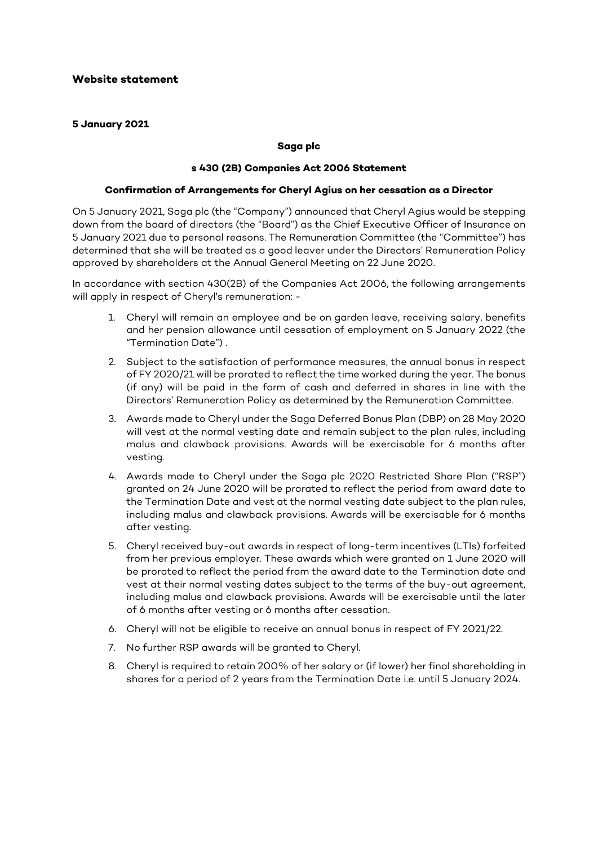# **Website statement**

# **5 January 2021**

#### **Saga plc**

#### **s 430 (2B) Companies Act 2006 Statement**

## **Confirmation of Arrangements for Cheryl Agius on her cessation as a Director**

On 5 January 2021, Saga plc (the "Company") announced that Cheryl Agius would be stepping down from the board of directors (the "Board") as the Chief Executive Officer of Insurance on 5 January 2021 due to personal reasons. The Remuneration Committee (the "Committee") has determined that she will be treated as a good leaver under the Directors' Remuneration Policy approved by shareholders at the Annual General Meeting on 22 June 2020.

In accordance with section 430(2B) of the Companies Act 2006, the following arrangements will apply in respect of Cheryl's remuneration: -

- 1. Cheryl will remain an employee and be on garden leave, receiving salary, benefits and her pension allowance until cessation of employment on 5 January 2022 (the "Termination Date") .
- 2. Subject to the satisfaction of performance measures, the annual bonus in respect of FY 2020/21 will be prorated to reflect the time worked during the year. The bonus (if any) will be paid in the form of cash and deferred in shares in line with the Directors' Remuneration Policy as determined by the Remuneration Committee.
- 3. Awards made to Cheryl under the Saga Deferred Bonus Plan (DBP) on 28 May 2020 will vest at the normal vesting date and remain subject to the plan rules, including malus and clawback provisions. Awards will be exercisable for 6 months after vesting.
- 4. Awards made to Cheryl under the Saga plc 2020 Restricted Share Plan ("RSP") granted on 24 June 2020 will be prorated to reflect the period from award date to the Termination Date and vest at the normal vesting date subject to the plan rules, including malus and clawback provisions. Awards will be exercisable for 6 months after vesting.
- 5. Cheryl received buy-out awards in respect of long-term incentives (LTIs) forfeited from her previous employer. These awards which were granted on 1 June 2020 will be prorated to reflect the period from the award date to the Termination date and vest at their normal vesting dates subject to the terms of the buy-out agreement, including malus and clawback provisions. Awards will be exercisable until the later of 6 months after vesting or 6 months after cessation.
- 6. Cheryl will not be eligible to receive an annual bonus in respect of FY 2021/22.
- 7. No further RSP awards will be granted to Cheryl.
- 8. Cheryl is required to retain 200% of her salary or (if lower) her final shareholding in shares for a period of 2 years from the Termination Date i.e. until 5 January 2024.